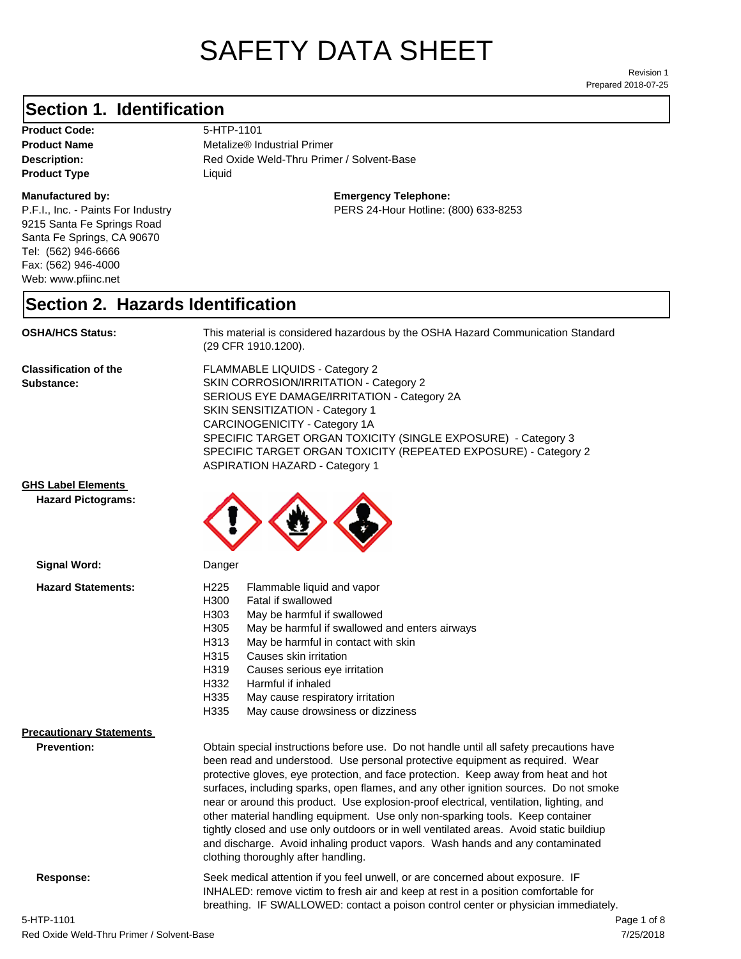# SAFETY DATA SHEET

Prepared 2018-07-25 Revision 1

#### **Section 1. Identification**

Product Code: 5-HTP-1101 **Product Type Liquid Liquid** 

#### **Manufactured by:**

P.F.I., Inc. - Paints For Industry 9215 Santa Fe Springs Road Santa Fe Springs, CA 90670 Tel: (562) 946-6666 Fax: (562) 946-4000 Web: www.pfiinc.net

**Product Name** Metalize<sup>®</sup> Industrial Primer

Description: **Description:** Red Oxide Weld-Thru Primer / Solvent-Base

**Emergency Telephone:**

PERS 24-Hour Hotline: (800) 633-8253

#### **Section 2. Hazards Identification**

**OSHA/HCS Status:** This material is considered hazardous by the OSHA Hazard Communication Standard (29 CFR 1910.1200).

**Classification of the Substance:**

FLAMMABLE LIQUIDS - Category 2 SKIN CORROSION/IRRITATION - Category 2 SERIOUS EYE DAMAGE/IRRITATION - Category 2A SKIN SENSITIZATION - Category 1 CARCINOGENICITY - Category 1A SPECIFIC TARGET ORGAN TOXICITY (SINGLE EXPOSURE) - Category 3 SPECIFIC TARGET ORGAN TOXICITY (REPEATED EXPOSURE) - Category 2 ASPIRATION HAZARD - Category 1

breathing. IF SWALLOWED: contact a poison control center or physician immediately.

#### **GHS Label Elements**

**Signal Word:**

**Hazard Pictograms:**



| <b>Hazard Statements:</b>       | H <sub>225</sub><br>Flammable liquid and vapor<br>H300<br>Fatal if swallowed<br>H303<br>May be harmful if swallowed<br>H305<br>May be harmful if swallowed and enters airways<br>H313<br>May be harmful in contact with skin<br>H315<br>Causes skin irritation<br>H319<br>Causes serious eye irritation<br>H332<br>Harmful if inhaled<br>H335<br>May cause respiratory irritation                                                                                                                                                                                                                                                                                                                                                                        |  |
|---------------------------------|----------------------------------------------------------------------------------------------------------------------------------------------------------------------------------------------------------------------------------------------------------------------------------------------------------------------------------------------------------------------------------------------------------------------------------------------------------------------------------------------------------------------------------------------------------------------------------------------------------------------------------------------------------------------------------------------------------------------------------------------------------|--|
|                                 | H335<br>May cause drowsiness or dizziness                                                                                                                                                                                                                                                                                                                                                                                                                                                                                                                                                                                                                                                                                                                |  |
| <b>Precautionary Statements</b> |                                                                                                                                                                                                                                                                                                                                                                                                                                                                                                                                                                                                                                                                                                                                                          |  |
| <b>Prevention:</b>              | Obtain special instructions before use. Do not handle until all safety precautions have<br>been read and understood. Use personal protective equipment as required. Wear<br>protective gloves, eye protection, and face protection. Keep away from heat and hot<br>surfaces, including sparks, open flames, and any other ignition sources. Do not smoke<br>near or around this product. Use explosion-proof electrical, ventilation, lighting, and<br>other material handling equipment. Use only non-sparking tools. Keep container<br>tightly closed and use only outdoors or in well ventilated areas. Avoid static buildiup<br>and discharge. Avoid inhaling product vapors. Wash hands and any contaminated<br>clothing thoroughly after handling. |  |
| Response:                       | Seek medical attention if you feel unwell, or are concerned about exposure. IF<br>INHALED: remove victim to fresh air and keep at rest in a position comfortable for                                                                                                                                                                                                                                                                                                                                                                                                                                                                                                                                                                                     |  |

7/25/2018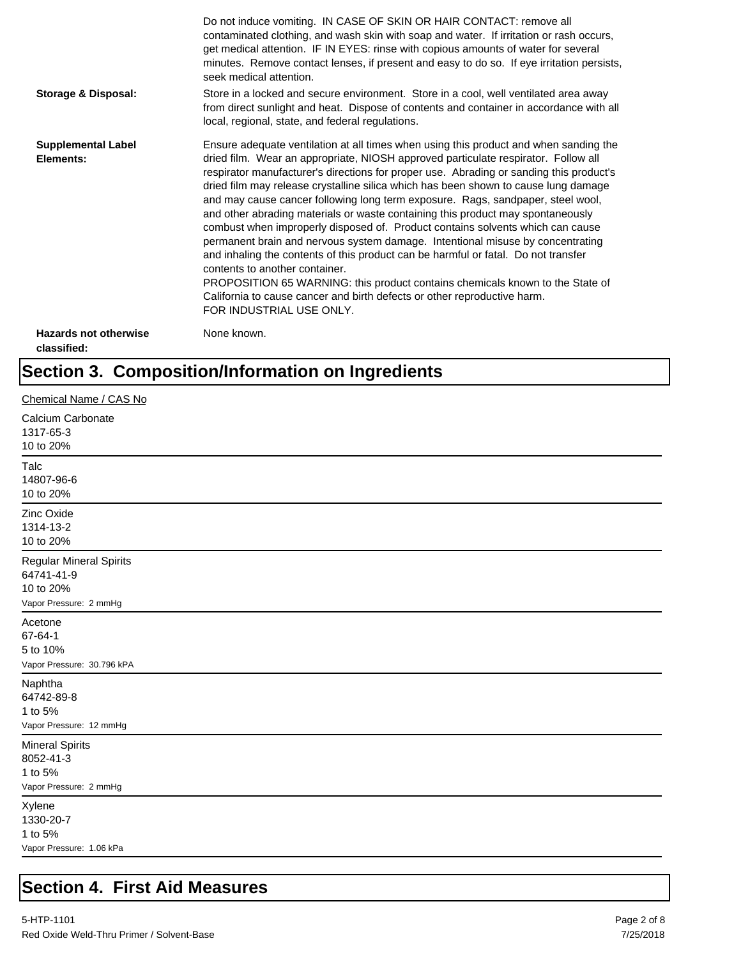|                                             | Do not induce vomiting. IN CASE OF SKIN OR HAIR CONTACT: remove all<br>contaminated clothing, and wash skin with soap and water. If irritation or rash occurs,<br>get medical attention. IF IN EYES: rinse with copious amounts of water for several<br>minutes. Remove contact lenses, if present and easy to do so. If eye irritation persists,<br>seek medical attention.                                                                                                                                                                                                                                                                                                                                                                                                                                                                                                                                                                                                                                             |
|---------------------------------------------|--------------------------------------------------------------------------------------------------------------------------------------------------------------------------------------------------------------------------------------------------------------------------------------------------------------------------------------------------------------------------------------------------------------------------------------------------------------------------------------------------------------------------------------------------------------------------------------------------------------------------------------------------------------------------------------------------------------------------------------------------------------------------------------------------------------------------------------------------------------------------------------------------------------------------------------------------------------------------------------------------------------------------|
| Storage & Disposal:                         | Store in a locked and secure environment. Store in a cool, well ventilated area away<br>from direct sunlight and heat. Dispose of contents and container in accordance with all<br>local, regional, state, and federal regulations.                                                                                                                                                                                                                                                                                                                                                                                                                                                                                                                                                                                                                                                                                                                                                                                      |
| <b>Supplemental Label</b><br>Elements:      | Ensure adequate ventilation at all times when using this product and when sanding the<br>dried film. Wear an appropriate, NIOSH approved particulate respirator. Follow all<br>respirator manufacturer's directions for proper use. Abrading or sanding this product's<br>dried film may release crystalline silica which has been shown to cause lung damage<br>and may cause cancer following long term exposure. Rags, sandpaper, steel wool,<br>and other abrading materials or waste containing this product may spontaneously<br>combust when improperly disposed of. Product contains solvents which can cause<br>permanent brain and nervous system damage. Intentional misuse by concentrating<br>and inhaling the contents of this product can be harmful or fatal. Do not transfer<br>contents to another container.<br>PROPOSITION 65 WARNING: this product contains chemicals known to the State of<br>California to cause cancer and birth defects or other reproductive harm.<br>FOR INDUSTRIAL USE ONLY. |
| <b>Hazards not otherwise</b><br>classified: | None known.                                                                                                                                                                                                                                                                                                                                                                                                                                                                                                                                                                                                                                                                                                                                                                                                                                                                                                                                                                                                              |

## **Section 3. Composition/Information on Ingredients**

| Chemical Name / CAS No                                                              |                    |
|-------------------------------------------------------------------------------------|--------------------|
| Calcium Carbonate<br>1317-65-3<br>10 to 20%                                         |                    |
| 14807-96-6<br>10 to 20%                                                             | Talc               |
| Zinc Oxide<br>1314-13-2<br>10 to 20%                                                |                    |
| <b>Regular Mineral Spirits</b><br>64741-41-9<br>10 to 20%<br>Vapor Pressure: 2 mmHg |                    |
| 5 to 10%<br>Vapor Pressure: 30.796 kPA                                              | Acetone<br>67-64-1 |
| 64742-89-8<br>Vapor Pressure: 12 mmHg                                               | Naphtha<br>1 to 5% |
| <b>Mineral Spirits</b><br>8052-41-3<br>Vapor Pressure: 2 mmHg                       | 1 to 5%            |
| 1330-20-7<br>Vapor Pressure: 1.06 kPa                                               | Xylene<br>1 to 5%  |

## **Section 4. First Aid Measures**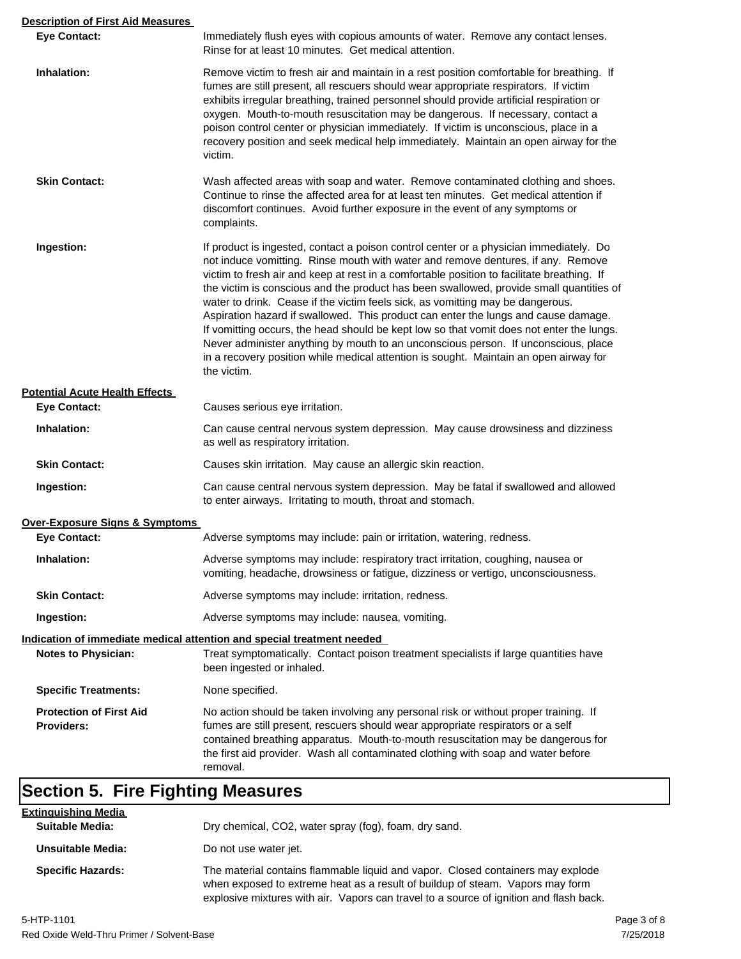| <b>Description of First Aid Measures</b> |                                                                                                                                                                                                                                                                                                                                                                                                                                                                                                                                                                                                                                                                                                                                                                                                                                       |  |
|------------------------------------------|---------------------------------------------------------------------------------------------------------------------------------------------------------------------------------------------------------------------------------------------------------------------------------------------------------------------------------------------------------------------------------------------------------------------------------------------------------------------------------------------------------------------------------------------------------------------------------------------------------------------------------------------------------------------------------------------------------------------------------------------------------------------------------------------------------------------------------------|--|
| <b>Eye Contact:</b>                      | Immediately flush eyes with copious amounts of water. Remove any contact lenses.<br>Rinse for at least 10 minutes. Get medical attention.                                                                                                                                                                                                                                                                                                                                                                                                                                                                                                                                                                                                                                                                                             |  |
| Inhalation:                              | Remove victim to fresh air and maintain in a rest position comfortable for breathing. If<br>fumes are still present, all rescuers should wear appropriate respirators. If victim<br>exhibits irregular breathing, trained personnel should provide artificial respiration or<br>oxygen. Mouth-to-mouth resuscitation may be dangerous. If necessary, contact a<br>poison control center or physician immediately. If victim is unconscious, place in a<br>recovery position and seek medical help immediately. Maintain an open airway for the<br>victim.                                                                                                                                                                                                                                                                             |  |
| <b>Skin Contact:</b>                     | Wash affected areas with soap and water. Remove contaminated clothing and shoes.<br>Continue to rinse the affected area for at least ten minutes. Get medical attention if<br>discomfort continues. Avoid further exposure in the event of any symptoms or<br>complaints.                                                                                                                                                                                                                                                                                                                                                                                                                                                                                                                                                             |  |
| Ingestion:                               | If product is ingested, contact a poison control center or a physician immediately. Do<br>not induce vomitting. Rinse mouth with water and remove dentures, if any. Remove<br>victim to fresh air and keep at rest in a comfortable position to facilitate breathing. If<br>the victim is conscious and the product has been swallowed, provide small quantities of<br>water to drink. Cease if the victim feels sick, as vomitting may be dangerous.<br>Aspiration hazard if swallowed. This product can enter the lungs and cause damage.<br>If vomitting occurs, the head should be kept low so that vomit does not enter the lungs.<br>Never administer anything by mouth to an unconscious person. If unconscious, place<br>in a recovery position while medical attention is sought. Maintain an open airway for<br>the victim. |  |
| <b>Potential Acute Health Effects</b>    |                                                                                                                                                                                                                                                                                                                                                                                                                                                                                                                                                                                                                                                                                                                                                                                                                                       |  |
| <b>Eye Contact:</b>                      | Causes serious eye irritation.                                                                                                                                                                                                                                                                                                                                                                                                                                                                                                                                                                                                                                                                                                                                                                                                        |  |
| Inhalation:                              | Can cause central nervous system depression. May cause drowsiness and dizziness<br>as well as respiratory irritation.                                                                                                                                                                                                                                                                                                                                                                                                                                                                                                                                                                                                                                                                                                                 |  |
| <b>Skin Contact:</b>                     | Causes skin irritation. May cause an allergic skin reaction.                                                                                                                                                                                                                                                                                                                                                                                                                                                                                                                                                                                                                                                                                                                                                                          |  |
| Ingestion:                               | Can cause central nervous system depression. May be fatal if swallowed and allowed<br>to enter airways. Irritating to mouth, throat and stomach.                                                                                                                                                                                                                                                                                                                                                                                                                                                                                                                                                                                                                                                                                      |  |
| Over-Exposure Signs & Symptoms           |                                                                                                                                                                                                                                                                                                                                                                                                                                                                                                                                                                                                                                                                                                                                                                                                                                       |  |
| <b>Eye Contact:</b>                      | Adverse symptoms may include: pain or irritation, watering, redness.                                                                                                                                                                                                                                                                                                                                                                                                                                                                                                                                                                                                                                                                                                                                                                  |  |
| Inhalation:                              | Adverse symptoms may include: respiratory tract irritation, coughing, nausea or<br>vomiting, headache, drowsiness or fatigue, dizziness or vertigo, unconsciousness.                                                                                                                                                                                                                                                                                                                                                                                                                                                                                                                                                                                                                                                                  |  |
| <b>Skin Contact:</b>                     | Adverse symptoms may include: irritation, redness.                                                                                                                                                                                                                                                                                                                                                                                                                                                                                                                                                                                                                                                                                                                                                                                    |  |
| Ingestion:                               | Adverse symptoms may include: nausea, vomiting.                                                                                                                                                                                                                                                                                                                                                                                                                                                                                                                                                                                                                                                                                                                                                                                       |  |
| <b>Notes to Physician:</b>               | Indication of immediate medical attention and special treatment needed<br>Treat symptomatically. Contact poison treatment specialists if large quantities have<br>been ingested or inhaled.                                                                                                                                                                                                                                                                                                                                                                                                                                                                                                                                                                                                                                           |  |
| <b>Specific Treatments:</b>              | None specified.                                                                                                                                                                                                                                                                                                                                                                                                                                                                                                                                                                                                                                                                                                                                                                                                                       |  |
| <b>Protection of First Aid</b>           | No action should be taken involving any personal risk or without proper training. If                                                                                                                                                                                                                                                                                                                                                                                                                                                                                                                                                                                                                                                                                                                                                  |  |
| <b>Providers:</b>                        | fumes are still present, rescuers should wear appropriate respirators or a self<br>contained breathing apparatus. Mouth-to-mouth resuscitation may be dangerous for<br>the first aid provider. Wash all contaminated clothing with soap and water before<br>removal.                                                                                                                                                                                                                                                                                                                                                                                                                                                                                                                                                                  |  |

# **Section 5. Fire Fighting Measures**

| <b>Extinguishing Media</b><br><b>Suitable Media:</b> | Dry chemical, CO2, water spray (fog), foam, dry sand.                                                                                                                                                                                                      |
|------------------------------------------------------|------------------------------------------------------------------------------------------------------------------------------------------------------------------------------------------------------------------------------------------------------------|
| <b>Unsuitable Media:</b>                             | Do not use water jet.                                                                                                                                                                                                                                      |
| <b>Specific Hazards:</b>                             | The material contains flammable liquid and vapor. Closed containers may explode<br>when exposed to extreme heat as a result of buildup of steam. Vapors may form<br>explosive mixtures with air. Vapors can travel to a source of ignition and flash back. |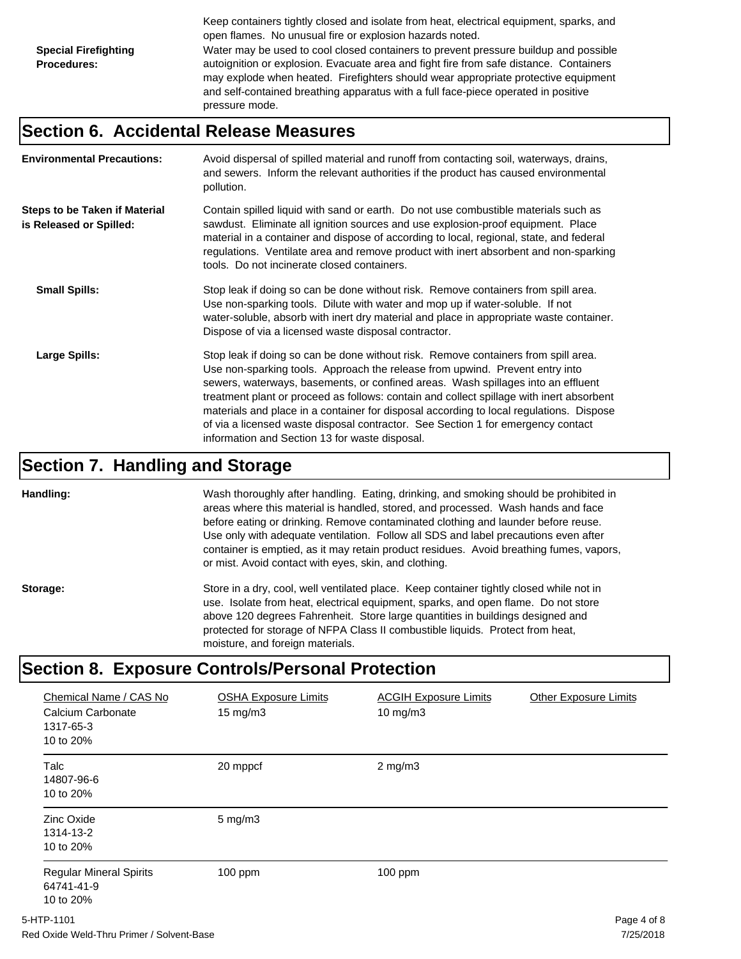Keep containers tightly closed and isolate from heat, electrical equipment, sparks, and open flames. No unusual fire or explosion hazards noted. **Special Firefighting Procedures:** Water may be used to cool closed containers to prevent pressure buildup and possible autoignition or explosion. Evacuate area and fight fire from safe distance. Containers may explode when heated. Firefighters should wear appropriate protective equipment and self-contained breathing apparatus with a full face-piece operated in positive pressure mode.

#### **Section 6. Accidental Release Measures**

| <b>Environmental Precautions:</b>                               | Avoid dispersal of spilled material and runoff from contacting soil, waterways, drains,<br>and sewers. Inform the relevant authorities if the product has caused environmental<br>pollution.                                                                                                                                                                                                                                                                                                                                                                                        |
|-----------------------------------------------------------------|-------------------------------------------------------------------------------------------------------------------------------------------------------------------------------------------------------------------------------------------------------------------------------------------------------------------------------------------------------------------------------------------------------------------------------------------------------------------------------------------------------------------------------------------------------------------------------------|
| <b>Steps to be Taken if Material</b><br>is Released or Spilled: | Contain spilled liquid with sand or earth. Do not use combustible materials such as<br>sawdust. Eliminate all ignition sources and use explosion-proof equipment. Place<br>material in a container and dispose of according to local, regional, state, and federal<br>regulations. Ventilate area and remove product with inert absorbent and non-sparking<br>tools. Do not incinerate closed containers.                                                                                                                                                                           |
| <b>Small Spills:</b>                                            | Stop leak if doing so can be done without risk. Remove containers from spill area.<br>Use non-sparking tools. Dilute with water and mop up if water-soluble. If not<br>water-soluble, absorb with inert dry material and place in appropriate waste container.<br>Dispose of via a licensed waste disposal contractor.                                                                                                                                                                                                                                                              |
| Large Spills:                                                   | Stop leak if doing so can be done without risk. Remove containers from spill area.<br>Use non-sparking tools. Approach the release from upwind. Prevent entry into<br>sewers, waterways, basements, or confined areas. Wash spillages into an effluent<br>treatment plant or proceed as follows: contain and collect spillage with inert absorbent<br>materials and place in a container for disposal according to local regulations. Dispose<br>of via a licensed waste disposal contractor. See Section 1 for emergency contact<br>information and Section 13 for waste disposal. |

#### **Section 7. Handling and Storage**

**Handling:** Wash thoroughly after handling. Eating, drinking, and smoking should be prohibited in areas where this material is handled, stored, and processed. Wash hands and face before eating or drinking. Remove contaminated clothing and launder before reuse. Use only with adequate ventilation. Follow all SDS and label precautions even after container is emptied, as it may retain product residues. Avoid breathing fumes, vapors, or mist. Avoid contact with eyes, skin, and clothing.

**Storage:** Store in a dry, cool, well ventilated place. Keep container tightly closed while not in use. Isolate from heat, electrical equipment, sparks, and open flame. Do not store above 120 degrees Fahrenheit. Store large quantities in buildings designed and protected for storage of NFPA Class II combustible liquids. Protect from heat, moisture, and foreign materials.

### **Section 8. Exposure Controls/Personal Protection**

| Chemical Name / CAS No<br>Calcium Carbonate<br>1317-65-3<br>10 to 20% | <b>OSHA Exposure Limits</b><br>$15 \text{ mg/m}$ | <b>ACGIH Exposure Limits</b><br>$10 \text{ mg/m}$ | <b>Other Exposure Limits</b> |
|-----------------------------------------------------------------------|--------------------------------------------------|---------------------------------------------------|------------------------------|
| <b>Talc</b><br>14807-96-6<br>10 to 20%                                | 20 mppcf                                         | $2$ mg/m $3$                                      |                              |
| Zinc Oxide<br>1314-13-2<br>10 to 20%                                  | $5 \text{ mg/m}$ 3                               |                                                   |                              |
| <b>Regular Mineral Spirits</b><br>64741-41-9<br>10 to 20%             | $100$ ppm                                        | $100$ ppm                                         |                              |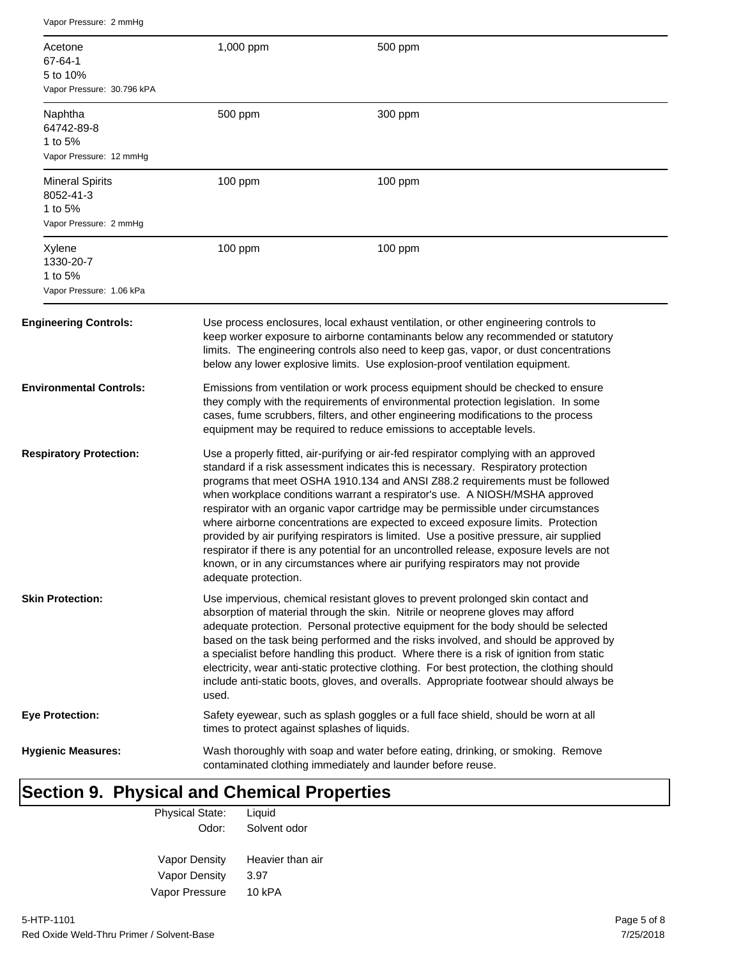| Vapor Pressure: 2 mmHg                                                                                                                                                      |                                                                                                                                                                                                                                                                                                                                                                                                                                                                                                                                                                                                                                                                                                                                                                                                                       |                                                                                     |  |
|-----------------------------------------------------------------------------------------------------------------------------------------------------------------------------|-----------------------------------------------------------------------------------------------------------------------------------------------------------------------------------------------------------------------------------------------------------------------------------------------------------------------------------------------------------------------------------------------------------------------------------------------------------------------------------------------------------------------------------------------------------------------------------------------------------------------------------------------------------------------------------------------------------------------------------------------------------------------------------------------------------------------|-------------------------------------------------------------------------------------|--|
| Acetone<br>67-64-1<br>5 to 10%<br>Vapor Pressure: 30.796 kPA                                                                                                                | 1,000 ppm                                                                                                                                                                                                                                                                                                                                                                                                                                                                                                                                                                                                                                                                                                                                                                                                             | 500 ppm                                                                             |  |
| Naphtha<br>64742-89-8<br>1 to 5%<br>Vapor Pressure: 12 mmHg                                                                                                                 | 500 ppm                                                                                                                                                                                                                                                                                                                                                                                                                                                                                                                                                                                                                                                                                                                                                                                                               | 300 ppm                                                                             |  |
| <b>Mineral Spirits</b><br>8052-41-3<br>1 to 5%<br>Vapor Pressure: 2 mmHg                                                                                                    | $100$ ppm                                                                                                                                                                                                                                                                                                                                                                                                                                                                                                                                                                                                                                                                                                                                                                                                             | $100$ ppm                                                                           |  |
| Xylene<br>1330-20-7<br>1 to 5%<br>Vapor Pressure: 1.06 kPa                                                                                                                  | 100 ppm                                                                                                                                                                                                                                                                                                                                                                                                                                                                                                                                                                                                                                                                                                                                                                                                               | 100 ppm                                                                             |  |
| <b>Engineering Controls:</b>                                                                                                                                                | Use process enclosures, local exhaust ventilation, or other engineering controls to<br>keep worker exposure to airborne contaminants below any recommended or statutory<br>limits. The engineering controls also need to keep gas, vapor, or dust concentrations<br>below any lower explosive limits. Use explosion-proof ventilation equipment.                                                                                                                                                                                                                                                                                                                                                                                                                                                                      |                                                                                     |  |
| <b>Environmental Controls:</b>                                                                                                                                              | Emissions from ventilation or work process equipment should be checked to ensure<br>they comply with the requirements of environmental protection legislation. In some<br>cases, fume scrubbers, filters, and other engineering modifications to the process<br>equipment may be required to reduce emissions to acceptable levels.                                                                                                                                                                                                                                                                                                                                                                                                                                                                                   |                                                                                     |  |
| <b>Respiratory Protection:</b>                                                                                                                                              | Use a properly fitted, air-purifying or air-fed respirator complying with an approved<br>standard if a risk assessment indicates this is necessary. Respiratory protection<br>programs that meet OSHA 1910.134 and ANSI Z88.2 requirements must be followed<br>when workplace conditions warrant a respirator's use. A NIOSH/MSHA approved<br>respirator with an organic vapor cartridge may be permissible under circumstances<br>where airborne concentrations are expected to exceed exposure limits. Protection<br>provided by air purifying respirators is limited. Use a positive pressure, air supplied<br>respirator if there is any potential for an uncontrolled release, exposure levels are not<br>known, or in any circumstances where air purifying respirators may not provide<br>adequate protection. |                                                                                     |  |
| <b>Skin Protection:</b>                                                                                                                                                     | Use impervious, chemical resistant gloves to prevent prolonged skin contact and<br>absorption of material through the skin. Nitrile or neoprene gloves may afford<br>adequate protection. Personal protective equipment for the body should be selected<br>based on the task being performed and the risks involved, and should be approved by<br>a specialist before handling this product. Where there is a risk of ignition from static<br>electricity, wear anti-static protective clothing. For best protection, the clothing should<br>include anti-static boots, gloves, and overalls. Appropriate footwear should always be<br>used.                                                                                                                                                                          |                                                                                     |  |
| Eye Protection:                                                                                                                                                             | times to protect against splashes of liquids.                                                                                                                                                                                                                                                                                                                                                                                                                                                                                                                                                                                                                                                                                                                                                                         | Safety eyewear, such as splash goggles or a full face shield, should be worn at all |  |
| <b>Hygienic Measures:</b><br>Wash thoroughly with soap and water before eating, drinking, or smoking. Remove<br>contaminated clothing immediately and launder before reuse. |                                                                                                                                                                                                                                                                                                                                                                                                                                                                                                                                                                                                                                                                                                                                                                                                                       |                                                                                     |  |

# **Section 9. Physical and Chemical Properties**

| Liquid           |
|------------------|
| Solvent odor     |
|                  |
| Heavier than air |
| 3.97             |
| 10 kPA           |
|                  |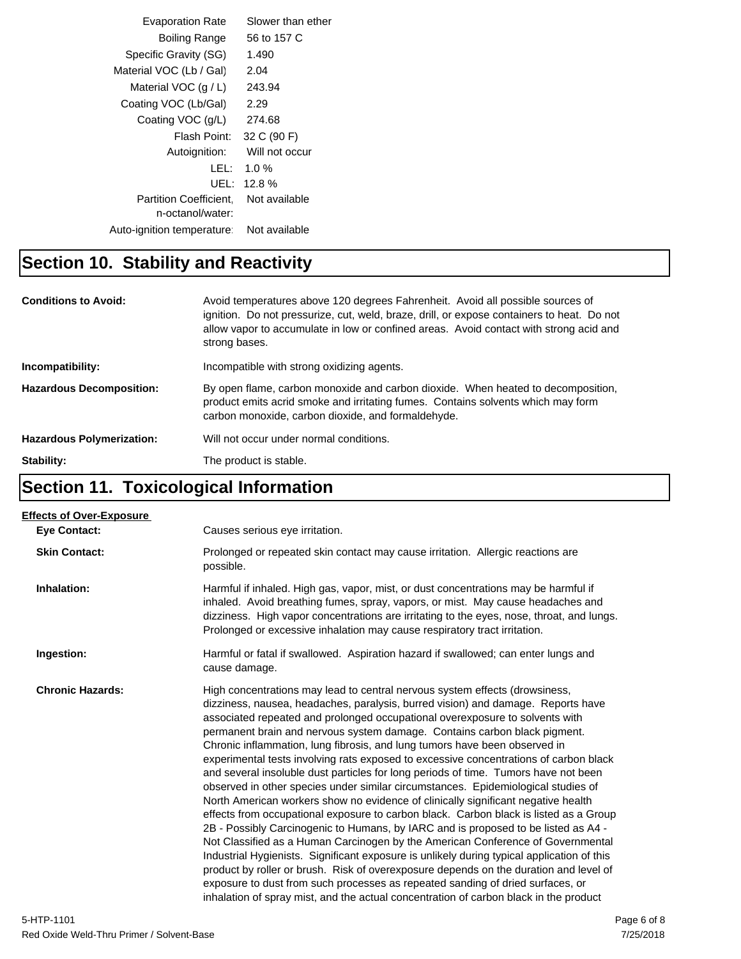| <b>Evaporation Rate</b>                           | Slower than ether |
|---------------------------------------------------|-------------------|
| Boiling Range                                     | 56 to 157 C       |
| Specific Gravity (SG)                             | 1.490             |
| Material VOC (Lb / Gal)                           | 2.04              |
| Material VOC $(q/L)$                              | 243.94            |
| Coating VOC (Lb/Gal)                              | 2.29              |
| Coating VOC (g/L)                                 | 274.68            |
| Flash Point:                                      | 32 C (90 F)       |
| Autoignition:                                     | Will not occur    |
| LEL:                                              | $1.0 \%$          |
| UEL:                                              | $12.8\%$          |
| <b>Partition Coefficient.</b><br>n-octanol/water: | Not available     |
| Auto-ignition temperature:                        | Not available     |
|                                                   |                   |

### **Section 10. Stability and Reactivity**

| <b>Conditions to Avoid:</b>      | Avoid temperatures above 120 degrees Fahrenheit. Avoid all possible sources of<br>ignition. Do not pressurize, cut, weld, braze, drill, or expose containers to heat. Do not<br>allow vapor to accumulate in low or confined areas. Avoid contact with strong acid and<br>strong bases. |
|----------------------------------|-----------------------------------------------------------------------------------------------------------------------------------------------------------------------------------------------------------------------------------------------------------------------------------------|
| Incompatibility:                 | Incompatible with strong oxidizing agents.                                                                                                                                                                                                                                              |
| <b>Hazardous Decomposition:</b>  | By open flame, carbon monoxide and carbon dioxide. When heated to decomposition,<br>product emits acrid smoke and irritating fumes. Contains solvents which may form<br>carbon monoxide, carbon dioxide, and formaldehyde.                                                              |
| <b>Hazardous Polymerization:</b> | Will not occur under normal conditions.                                                                                                                                                                                                                                                 |
| Stability:                       | The product is stable.                                                                                                                                                                                                                                                                  |

## **Section 11. Toxicological Information**

| <b>Effects of Over-Exposure</b> |                                                                                                                                                                                                                                                                                                                                                                                                                                                                                                                                                                                                                                                                                                                                                                                                                                                                                                                                                                                                                                                                                                                                                                                                                                                                                                                                                                                                          |
|---------------------------------|----------------------------------------------------------------------------------------------------------------------------------------------------------------------------------------------------------------------------------------------------------------------------------------------------------------------------------------------------------------------------------------------------------------------------------------------------------------------------------------------------------------------------------------------------------------------------------------------------------------------------------------------------------------------------------------------------------------------------------------------------------------------------------------------------------------------------------------------------------------------------------------------------------------------------------------------------------------------------------------------------------------------------------------------------------------------------------------------------------------------------------------------------------------------------------------------------------------------------------------------------------------------------------------------------------------------------------------------------------------------------------------------------------|
| <b>Eye Contact:</b>             | Causes serious eye irritation.                                                                                                                                                                                                                                                                                                                                                                                                                                                                                                                                                                                                                                                                                                                                                                                                                                                                                                                                                                                                                                                                                                                                                                                                                                                                                                                                                                           |
| <b>Skin Contact:</b>            | Prolonged or repeated skin contact may cause irritation. Allergic reactions are<br>possible.                                                                                                                                                                                                                                                                                                                                                                                                                                                                                                                                                                                                                                                                                                                                                                                                                                                                                                                                                                                                                                                                                                                                                                                                                                                                                                             |
| Inhalation:                     | Harmful if inhaled. High gas, vapor, mist, or dust concentrations may be harmful if<br>inhaled. Avoid breathing fumes, spray, vapors, or mist. May cause headaches and<br>dizziness. High vapor concentrations are irritating to the eyes, nose, throat, and lungs.<br>Prolonged or excessive inhalation may cause respiratory tract irritation.                                                                                                                                                                                                                                                                                                                                                                                                                                                                                                                                                                                                                                                                                                                                                                                                                                                                                                                                                                                                                                                         |
| Ingestion:                      | Harmful or fatal if swallowed. Aspiration hazard if swallowed; can enter lungs and<br>cause damage.                                                                                                                                                                                                                                                                                                                                                                                                                                                                                                                                                                                                                                                                                                                                                                                                                                                                                                                                                                                                                                                                                                                                                                                                                                                                                                      |
| <b>Chronic Hazards:</b>         | High concentrations may lead to central nervous system effects (drowsiness,<br>dizziness, nausea, headaches, paralysis, burred vision) and damage. Reports have<br>associated repeated and prolonged occupational overexposure to solvents with<br>permanent brain and nervous system damage. Contains carbon black pigment.<br>Chronic inflammation, lung fibrosis, and lung tumors have been observed in<br>experimental tests involving rats exposed to excessive concentrations of carbon black<br>and several insoluble dust particles for long periods of time. Tumors have not been<br>observed in other species under similar circumstances. Epidemiological studies of<br>North American workers show no evidence of clinically significant negative health<br>effects from occupational exposure to carbon black. Carbon black is listed as a Group<br>2B - Possibly Carcinogenic to Humans, by IARC and is proposed to be listed as A4 -<br>Not Classified as a Human Carcinogen by the American Conference of Governmental<br>Industrial Hygienists. Significant exposure is unlikely during typical application of this<br>product by roller or brush. Risk of overexposure depends on the duration and level of<br>exposure to dust from such processes as repeated sanding of dried surfaces, or<br>inhalation of spray mist, and the actual concentration of carbon black in the product |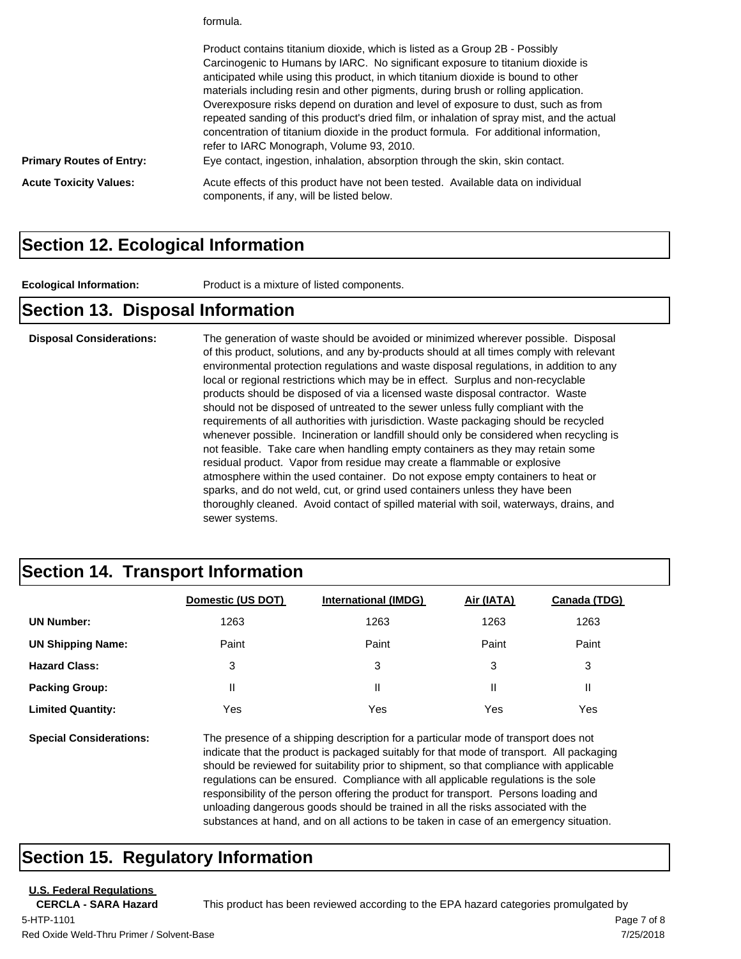formula.

|                                 | Product contains titanium dioxide, which is listed as a Group 2B - Possibly<br>Carcinogenic to Humans by IARC. No significant exposure to titanium dioxide is<br>anticipated while using this product, in which titanium dioxide is bound to other<br>materials including resin and other pigments, during brush or rolling application.<br>Overexposure risks depend on duration and level of exposure to dust, such as from<br>repeated sanding of this product's dried film, or inhalation of spray mist, and the actual<br>concentration of titanium dioxide in the product formula. For additional information,<br>refer to IARC Monograph, Volume 93, 2010. |
|---------------------------------|-------------------------------------------------------------------------------------------------------------------------------------------------------------------------------------------------------------------------------------------------------------------------------------------------------------------------------------------------------------------------------------------------------------------------------------------------------------------------------------------------------------------------------------------------------------------------------------------------------------------------------------------------------------------|
| <b>Primary Routes of Entry:</b> | Eye contact, ingestion, inhalation, absorption through the skin, skin contact.                                                                                                                                                                                                                                                                                                                                                                                                                                                                                                                                                                                    |
| <b>Acute Toxicity Values:</b>   | Acute effects of this product have not been tested. Available data on individual<br>components, if any, will be listed below.                                                                                                                                                                                                                                                                                                                                                                                                                                                                                                                                     |

#### **Section 12. Ecological Information**

**Ecological Information:** Product is a mixture of listed components.

#### **Section 13. Disposal Information**

**Disposal Considerations:** The generation of waste should be avoided or minimized wherever possible. Disposal of this product, solutions, and any by-products should at all times comply with relevant environmental protection regulations and waste disposal regulations, in addition to any local or regional restrictions which may be in effect. Surplus and non-recyclable products should be disposed of via a licensed waste disposal contractor. Waste should not be disposed of untreated to the sewer unless fully compliant with the requirements of all authorities with jurisdiction. Waste packaging should be recycled whenever possible. Incineration or landfill should only be considered when recycling is not feasible. Take care when handling empty containers as they may retain some residual product. Vapor from residue may create a flammable or explosive atmosphere within the used container. Do not expose empty containers to heat or sparks, and do not weld, cut, or grind used containers unless they have been thoroughly cleaned. Avoid contact of spilled material with soil, waterways, drains, and sewer systems.

#### **Section 14. Transport Information**

|                                | Domestic (US DOT)                                                                                                                                                                                                                                                          | <b>International (IMDG)</b> | Air (IATA) | Canada (TDG) |
|--------------------------------|----------------------------------------------------------------------------------------------------------------------------------------------------------------------------------------------------------------------------------------------------------------------------|-----------------------------|------------|--------------|
| <b>UN Number:</b>              | 1263                                                                                                                                                                                                                                                                       | 1263                        | 1263       | 1263         |
| <b>UN Shipping Name:</b>       | Paint                                                                                                                                                                                                                                                                      | Paint                       | Paint      | Paint        |
| <b>Hazard Class:</b>           | 3                                                                                                                                                                                                                                                                          | 3                           | 3          | 3            |
| <b>Packing Group:</b>          | Ш                                                                                                                                                                                                                                                                          | Ш                           | Ш          | Ш            |
| <b>Limited Quantity:</b>       | Yes                                                                                                                                                                                                                                                                        | Yes                         | Yes        | Yes          |
| <b>Special Considerations:</b> | The presence of a shipping description for a particular mode of transport does not<br>indicate that the product is packaged suitably for that mode of transport. All packaging<br>should be reviewed for suitability prior to shipment, so that compliance with applicable |                             |            |              |

regulations can be ensured. Compliance with all applicable regulations is the sole responsibility of the person offering the product for transport. Persons loading and unloading dangerous goods should be trained in all the risks associated with the substances at hand, and on all actions to be taken in case of an emergency situation.

#### **Section 15. Regulatory Information**

**U.S. Federal Regulations**

**CERCLA - SARA Hazard** This product has been reviewed according to the EPA hazard categories promulgated by